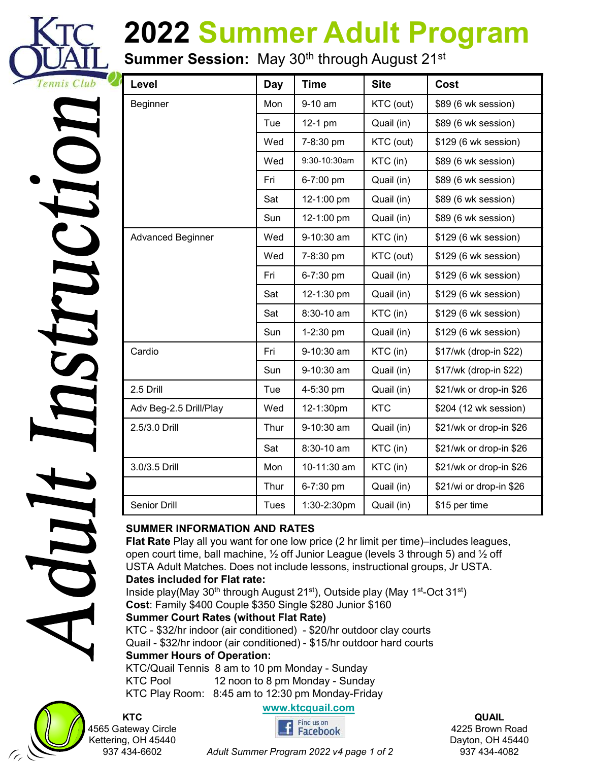

# 2022 Summer Adult Program

| <b>A</b>                           |
|------------------------------------|
|                                    |
| ſ                                  |
|                                    |
|                                    |
| <b>TT</b>                          |
| $\blacktriangledown$               |
|                                    |
|                                    |
|                                    |
|                                    |
| <b>TTM</b><br>$\blacktriangleleft$ |
|                                    |
| $\blacklozenge$                    |
|                                    |
| Z                                  |
|                                    |
|                                    |
|                                    |
|                                    |
|                                    |
|                                    |
| j                                  |
|                                    |
| $\overline{\mathbf{C}}$            |
|                                    |
|                                    |
| $\blacktriangleleft$               |
|                                    |

| Level                  |      |              |             | Summer Session: May 30 <sup>th</sup> through August 21 <sup>st</sup> |
|------------------------|------|--------------|-------------|----------------------------------------------------------------------|
|                        | Day  | <b>Time</b>  | <b>Site</b> | Cost                                                                 |
| <b>Beginner</b>        | Mon  | 9-10 am      | KTC (out)   | \$89 (6 wk session)                                                  |
|                        | Tue  | $12-1$ pm    | Quail (in)  | \$89 (6 wk session)                                                  |
|                        | Wed  | 7-8:30 pm    | KTC (out)   | \$129 (6 wk session)                                                 |
|                        | Wed  | 9:30-10:30am | $KTC$ (in)  | \$89 (6 wk session)                                                  |
|                        | Fri  | 6-7:00 pm    | Quail (in)  | \$89 (6 wk session)                                                  |
|                        | Sat  | 12-1:00 pm   | Quail (in)  | \$89 (6 wk session)                                                  |
|                        | Sun  | 12-1:00 pm   | Quail (in)  | \$89 (6 wk session)                                                  |
| Advanced Beginner      | Wed  | 9-10:30 am   | $KTC$ (in)  | \$129 (6 wk session)                                                 |
|                        | Wed  | 7-8:30 pm    | KTC (out)   | \$129 (6 wk session)                                                 |
|                        | Fri  | 6-7:30 pm    | Quail (in)  | \$129 (6 wk session)                                                 |
|                        | Sat  | 12-1:30 pm   | Quail (in)  | \$129 (6 wk session)                                                 |
|                        | Sat  | 8:30-10 am   | $KTC$ (in)  | \$129 (6 wk session)                                                 |
|                        | Sun  | 1-2:30 pm    | Quail (in)  | \$129 (6 wk session)                                                 |
| Cardio                 | Fri  | 9-10:30 am   | KTC (in)    | \$17/wk (drop-in \$22)                                               |
|                        | Sun  | 9-10:30 am   | Quail (in)  | \$17/wk (drop-in \$22)                                               |
| 2.5 Drill              | Tue  | 4-5:30 pm    | Quail (in)  | \$21/wk or drop-in \$26                                              |
| Adv Beg-2.5 Drill/Play | Wed  | 12-1:30pm    | <b>KTC</b>  | \$204 (12 wk session)                                                |
| 2.5/3.0 Drill          | Thur | 9-10:30 am   | Quail (in)  | \$21/wk or drop-in \$26                                              |
|                        | Sat  | 8:30-10 am   | $KTC$ (in)  | \$21/wk or drop-in \$26                                              |
| 3.0/3.5 Drill          | Mon  | 10-11:30 am  | KTC (in)    | \$21/wk or drop-in \$26                                              |
|                        | Thur | 6-7:30 pm    | Quail (in)  | \$21/wi or drop-in \$26                                              |
| Senior Drill           | Tues | 1:30-2:30pm  | Quail (in)  | \$15 per time                                                        |

#### SUMMER INFORMATION AND RATES

#### Summer Court Rates (without Flat Rate)



**KTC ASSA CONTRACT CONTRACT CONTRACT CONTRACT CONTRACT CONTRACT CONTRACT CONTRACT CONTRACT CONTRACT CONTRACT CONTRA<br>Tracebook** Kettering, OH 45440

**QUAIL** 4225 Brown Road Dayton, OH 45440 937 434-4082

937 434-6602 Adult Summer Program 2022 v4 page 1 of 2